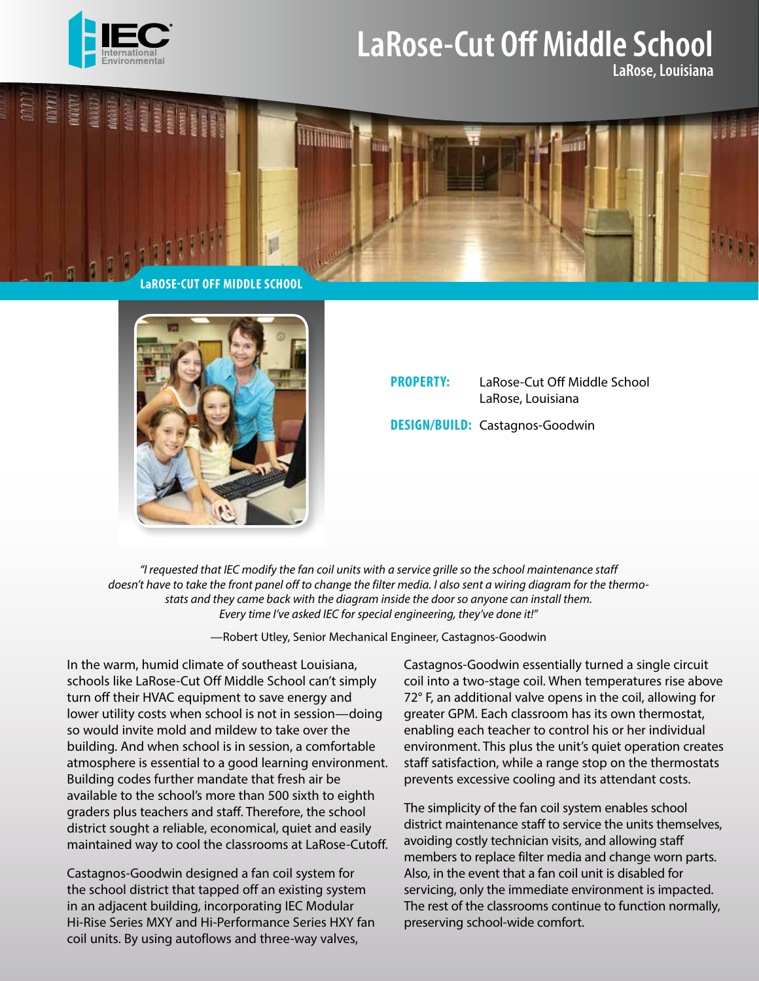

## **LaRose-Cut Off Middle School**

**LaRose, Louisiana**





## **PROPERTY:** LaRose-Cut Off Middle School LaRose, Louisiana **DESIGN/BUILD:** Castagnos-Goodwin

*"I requested that IEC modify the fan coil units with a service grille so the school maintenance staff doesn't have to take the front panel off to change the filter media. I also sent a wiring diagram for the thermostats and they came back with the diagram inside the door so anyone can install them. Every time I've asked IEC for special engineering, they've done it!"* 

—Robert Utley, Senior Mechanical Engineer, Castagnos-Goodwin

In the warm, humid climate of southeast Louisiana, schools like LaRose-Cut Off Middle School can't simply turn off their HVAC equipment to save energy and lower utility costs when school is not in session—doing so would invite mold and mildew to take over the building. And when school is in session, a comfortable atmosphere is essential to a good learning environment. Building codes further mandate that fresh air be available to the school's more than 500 sixth to eighth graders plus teachers and staff. Therefore, the school district sought a reliable, economical, quiet and easily maintained way to cool the classrooms at LaRose-Cutoff.

Castagnos-Goodwin designed a fan coil system for the school district that tapped off an existing system in an adjacent building, incorporating IEC Modular Hi-Rise Series MXY and Hi-Performance Series HXY fan coil units. By using autoflows and three-way valves,

Castagnos-Goodwin essentially turned a single circuit coil into a two-stage coil. When temperatures rise above 72° F, an additional valve opens in the coil, allowing for greater GPM. Each classroom has its own thermostat, enabling each teacher to control his or her individual environment. This plus the unit's quiet operation creates staff satisfaction, while a range stop on the thermostats prevents excessive cooling and its attendant costs.

The simplicity of the fan coil system enables school district maintenance staff to service the units themselves, avoiding costly technician visits, and allowing staff members to replace filter media and change worn parts. Also, in the event that a fan coil unit is disabled for servicing, only the immediate environment is impacted. The rest of the classrooms continue to function normally, preserving school-wide comfort.